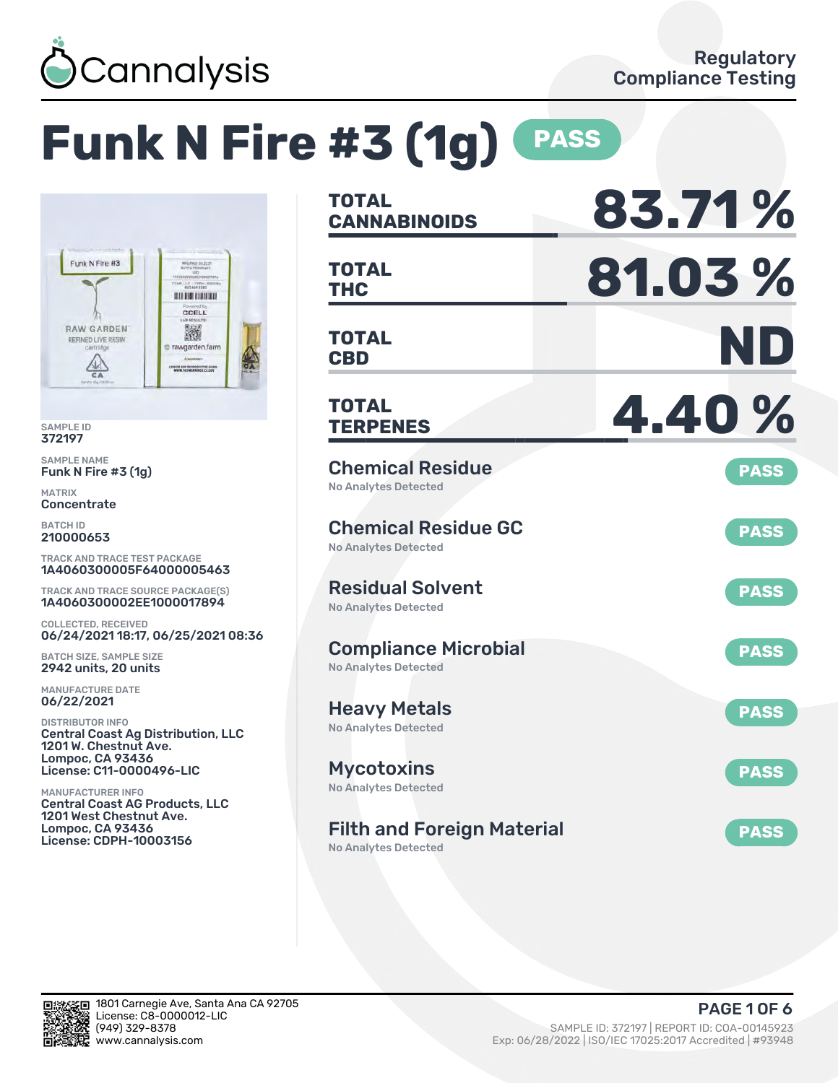

# **Funk N Fire #3 (1g) PASS**



SAMPLE ID 372197

SAMPLE NAME Funk N Fire #3 (1g)

MATRIX **Concentrate** 

BATCH ID 210000653

TRACK AND TRACE TEST PACKAGE 1A4060300005F64000005463

TRACK AND TRACE SOURCE PACKAGE(S) 1A4060300002EE1000017894

COLLECTED, RECEIVED 06/24/2021 18:17, 06/25/2021 08:36

BATCH SIZE, SAMPLE SIZE 2942 units, 20 units

MANUFACTURE DATE 06/22/2021

DISTRIBUTOR INFO Central Coast Ag Distribution, LLC 1201 W. Chestnut Ave. Lompoc, CA 93436 License: C11-0000496-LIC

MANUFACTURER INFO Central Coast AG Products, LLC 1201 West Chestnut Ave. Lompoc, CA 93436 License: CDPH-10003156

| <b>TOTAL</b><br><b>CANNABINOIDS</b>                              | 83.71%      |
|------------------------------------------------------------------|-------------|
| <b>TOTAL</b><br>THC                                              | 81.03%      |
| <b>TOTAL</b><br><b>CBD</b>                                       | ND          |
| <b>TOTAL</b><br><b>TERPENES</b>                                  | 4.40%       |
| <b>Chemical Residue</b><br><b>No Analytes Detected</b>           | <b>PASS</b> |
| <b>Chemical Residue GC</b><br><b>No Analytes Detected</b>        | <b>PASS</b> |
| <b>Residual Solvent</b><br><b>No Analytes Detected</b>           | <b>PASS</b> |
| <b>Compliance Microbial</b><br><b>No Analytes Detected</b>       | <b>PASS</b> |
| <b>Heavy Metals</b><br><b>No Analytes Detected</b>               | <b>PASS</b> |
| <b>Mycotoxins</b><br>No Analytes Detected                        | <b>PASS</b> |
| <b>Filth and Foreign Material</b><br><b>No Analytes Detected</b> | <b>PASS</b> |

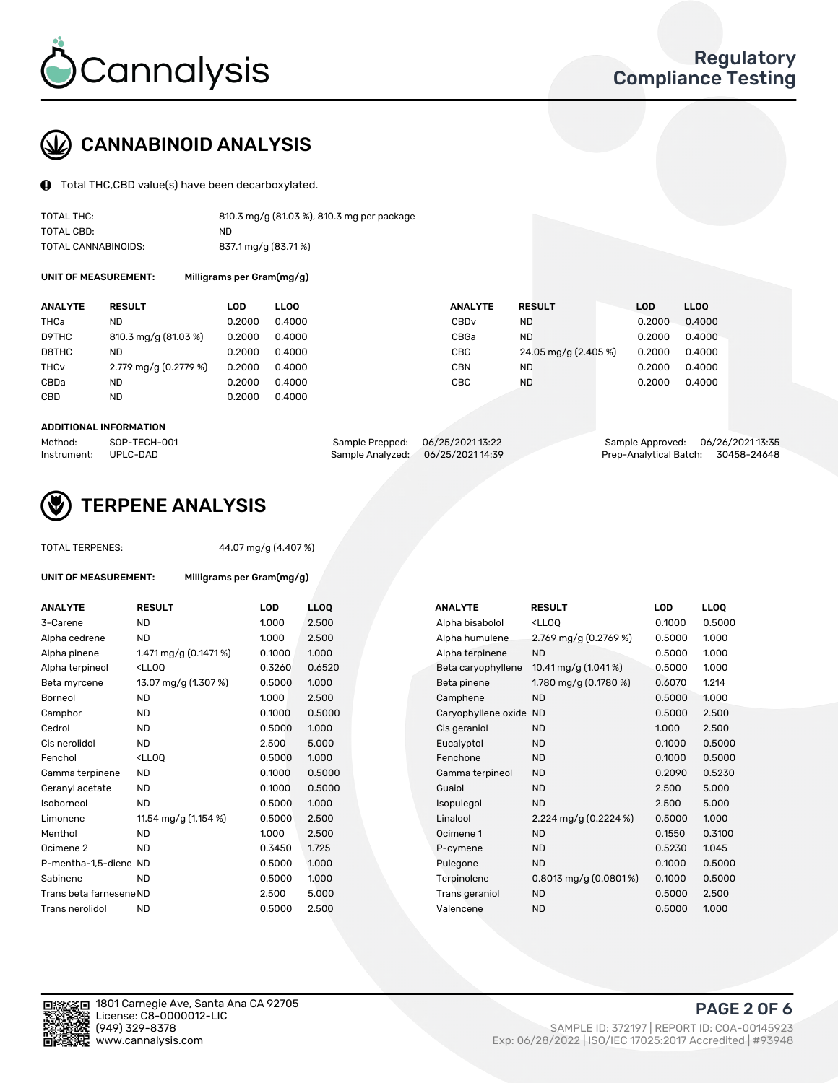

# CANNABINOID ANALYSIS

Total THC,CBD value(s) have been decarboxylated.

| TOTAL THC:          | 810.3 mg/g (81.03 %), 810.3 mg per package |
|---------------------|--------------------------------------------|
| TOTAL CBD:          | ND.                                        |
| TOTAL CANNABINOIDS: | 837.1 mg/g (83.71%)                        |

UNIT OF MEASUREMENT: Milligrams per Gram(mg/g)

| <b>ANALYTE</b>         | <b>RESULT</b>         | LOD    | <b>LLOO</b> | <b>ANALYTE</b>   | <b>RESULT</b>        | LOD    | LL <sub>00</sub> |
|------------------------|-----------------------|--------|-------------|------------------|----------------------|--------|------------------|
| THCa                   | ND                    | 0.2000 | 0.4000      | CBD <sub>v</sub> | <b>ND</b>            | 0.2000 | 0.4000           |
| D9THC                  | 810.3 mg/g (81.03 %)  | 0.2000 | 0.4000      | CBGa             | ND.                  | 0.2000 | 0.4000           |
| D8THC                  | ND                    | 0.2000 | 0.4000      | CBG              | 24.05 mg/g (2.405 %) | 0.2000 | 0.4000           |
| <b>THC<sub>v</sub></b> | 2.779 mg/g (0.2779 %) | 0.2000 | 0.4000      | CBN              | <b>ND</b>            | 0.2000 | 0.4000           |
| CBDa                   | ND                    | 0.2000 | 0.4000      | CBC              | <b>ND</b>            | 0.2000 | 0.4000           |
| <b>CBD</b>             | <b>ND</b>             | 0.2000 | 0.4000      |                  |                      |        |                  |

#### ADDITIONAL INFORMATION

| Method:              | SOP-TECH-001 | Sample Prepped: 06/25/202113:22   | Sample Approved: 06/26/202113:35   |  |
|----------------------|--------------|-----------------------------------|------------------------------------|--|
| Instrument: UPLC-DAD |              | Sample Analyzed: 06/25/2021 14:39 | Prep-Analytical Batch: 30458-24648 |  |



### TERPENE ANALYSIS

UNIT OF MEASUREMENT: Milligrams per Gram(mg/g)

| TOTAL TERPENES: |  |  |
|-----------------|--|--|
|                 |  |  |

AL TERPENES:  $44.07 \text{ mg/g} (4.407 \text{ %})$ 

| <b>ANALYTE</b>          | <b>RESULT</b>                                                                                                                            | <b>LOD</b> | LL <sub>OO</sub> | <b>ANALYTE</b>         | <b>RESULT</b>                                       | LOD    | <b>LLOO</b> |
|-------------------------|------------------------------------------------------------------------------------------------------------------------------------------|------------|------------------|------------------------|-----------------------------------------------------|--------|-------------|
| 3-Carene                | <b>ND</b>                                                                                                                                | 1.000      | 2.500            | Alpha bisabolol        | <lloq< td=""><td>0.1000</td><td>0.5000</td></lloq<> | 0.1000 | 0.5000      |
| Alpha cedrene           | <b>ND</b>                                                                                                                                | 1.000      | 2.500            | Alpha humulene         | 2.769 mg/g $(0.2769\%)$                             | 0.5000 | 1.000       |
| Alpha pinene            | 1.471 mg/g (0.1471 %)                                                                                                                    | 0.1000     | 1.000            | Alpha terpinene        | <b>ND</b>                                           | 0.5000 | 1.000       |
| Alpha terpineol         | <lloq< td=""><td>0.3260</td><td>0.6520</td><td>Beta caryophyllene</td><td>10.41 mg/g (1.041 %)</td><td>0.5000</td><td>1.000</td></lloq<> | 0.3260     | 0.6520           | Beta caryophyllene     | 10.41 mg/g (1.041 %)                                | 0.5000 | 1.000       |
| Beta myrcene            | 13.07 mg/g (1.307 %)                                                                                                                     | 0.5000     | 1.000            | Beta pinene            | 1.780 mg/g (0.1780 %)                               | 0.6070 | 1.214       |
| Borneol                 | <b>ND</b>                                                                                                                                | 1.000      | 2.500            | Camphene               | <b>ND</b>                                           | 0.5000 | 1.000       |
| Camphor                 | <b>ND</b>                                                                                                                                | 0.1000     | 0.5000           | Caryophyllene oxide ND |                                                     | 0.5000 | 2.500       |
| Cedrol                  | <b>ND</b>                                                                                                                                | 0.5000     | 1.000            | Cis geraniol           | <b>ND</b>                                           | 1.000  | 2.500       |
| Cis nerolidol           | <b>ND</b>                                                                                                                                | 2.500      | 5.000            | Eucalyptol             | <b>ND</b>                                           | 0.1000 | 0.5000      |
| Fenchol                 | <ll0q< td=""><td>0.5000</td><td>1.000</td><td>Fenchone</td><td><b>ND</b></td><td>0.1000</td><td>0.5000</td></ll0q<>                      | 0.5000     | 1.000            | Fenchone               | <b>ND</b>                                           | 0.1000 | 0.5000      |
| Gamma terpinene         | <b>ND</b>                                                                                                                                | 0.1000     | 0.5000           | Gamma terpineol        | <b>ND</b>                                           | 0.2090 | 0.5230      |
| Geranyl acetate         | <b>ND</b>                                                                                                                                | 0.1000     | 0.5000           | Guaiol                 | <b>ND</b>                                           | 2.500  | 5.000       |
| Isoborneol              | <b>ND</b>                                                                                                                                | 0.5000     | 1.000            | Isopulegol             | <b>ND</b>                                           | 2.500  | 5.000       |
| Limonene                | 11.54 mg/g (1.154 %)                                                                                                                     | 0.5000     | 2.500            | Linalool               | 2.224 mg/g $(0.2224\%)$                             | 0.5000 | 1.000       |
| Menthol                 | <b>ND</b>                                                                                                                                | 1.000      | 2.500            | Ocimene 1              | <b>ND</b>                                           | 0.1550 | 0.3100      |
| Ocimene 2               | <b>ND</b>                                                                                                                                | 0.3450     | 1.725            | P-cymene               | <b>ND</b>                                           | 0.5230 | 1.045       |
| P-mentha-1.5-diene ND   |                                                                                                                                          | 0.5000     | 1.000            | Pulegone               | <b>ND</b>                                           | 0.1000 | 0.5000      |
| Sabinene                | <b>ND</b>                                                                                                                                | 0.5000     | 1.000            | Terpinolene            | $0.8013$ mg/g $(0.0801\%)$                          | 0.1000 | 0.5000      |
| Trans beta farnesene ND |                                                                                                                                          | 2.500      | 5.000            | Trans geraniol         | <b>ND</b>                                           | 0.5000 | 2.500       |
| Trans nerolidol         | <b>ND</b>                                                                                                                                | 0.5000     | 2.500            | Valencene              | <b>ND</b>                                           | 0.5000 | 1.000       |
|                         |                                                                                                                                          |            |                  |                        |                                                     |        |             |

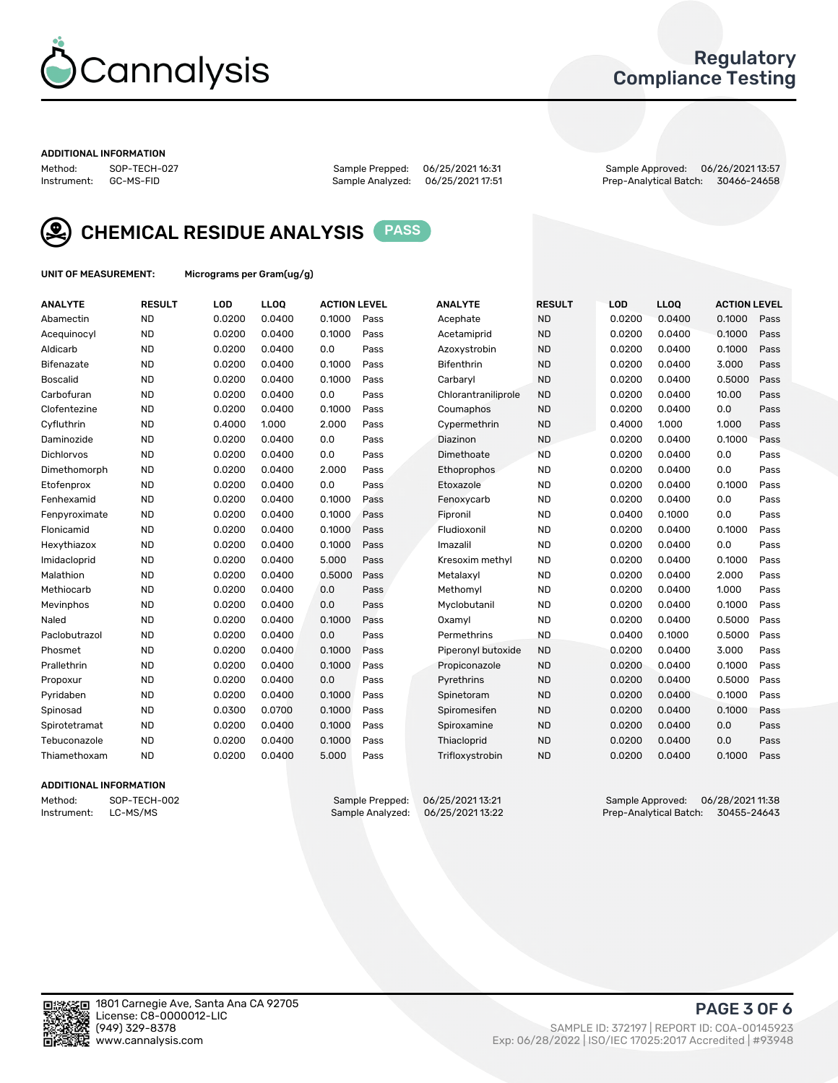

### Regulatory Compliance Testing

#### ADDITIONAL INFORMATION

Method: SOP-TECH-027 Sample Prepped: 06/25/2021 16:31 Sample Approved: 06/26/2021 13:57 Prep-Analytical Batch: 30466-24658



CHEMICAL RESIDUE ANALYSIS PASS

UNIT OF MEASUREMENT: Micrograms per Gram(ug/g)

| <b>ANALYTE</b>    | <b>RESULT</b> | LOD    | LL <sub>OO</sub> | <b>ACTION LEVEL</b> |      | <b>ANALYTE</b>      | <b>RESULT</b> | <b>LOD</b> | <b>LLOQ</b> | <b>ACTION LEVEL</b> |      |
|-------------------|---------------|--------|------------------|---------------------|------|---------------------|---------------|------------|-------------|---------------------|------|
| Abamectin         | <b>ND</b>     | 0.0200 | 0.0400           | 0.1000              | Pass | Acephate            | <b>ND</b>     | 0.0200     | 0.0400      | 0.1000              | Pass |
| Acequinocyl       | <b>ND</b>     | 0.0200 | 0.0400           | 0.1000              | Pass | Acetamiprid         | <b>ND</b>     | 0.0200     | 0.0400      | 0.1000              | Pass |
| Aldicarb          | <b>ND</b>     | 0.0200 | 0.0400           | 0.0                 | Pass | Azoxystrobin        | <b>ND</b>     | 0.0200     | 0.0400      | 0.1000              | Pass |
| Bifenazate        | <b>ND</b>     | 0.0200 | 0.0400           | 0.1000              | Pass | <b>Bifenthrin</b>   | <b>ND</b>     | 0.0200     | 0.0400      | 3.000               | Pass |
| <b>Boscalid</b>   | <b>ND</b>     | 0.0200 | 0.0400           | 0.1000              | Pass | Carbaryl            | <b>ND</b>     | 0.0200     | 0.0400      | 0.5000              | Pass |
| Carbofuran        | <b>ND</b>     | 0.0200 | 0.0400           | 0.0                 | Pass | Chlorantraniliprole | <b>ND</b>     | 0.0200     | 0.0400      | 10.00               | Pass |
| Clofentezine      | <b>ND</b>     | 0.0200 | 0.0400           | 0.1000              | Pass | Coumaphos           | <b>ND</b>     | 0.0200     | 0.0400      | 0.0                 | Pass |
| Cyfluthrin        | <b>ND</b>     | 0.4000 | 1.000            | 2.000               | Pass | Cypermethrin        | <b>ND</b>     | 0.4000     | 1.000       | 1.000               | Pass |
| Daminozide        | <b>ND</b>     | 0.0200 | 0.0400           | 0.0                 | Pass | Diazinon            | <b>ND</b>     | 0.0200     | 0.0400      | 0.1000              | Pass |
| <b>Dichlorvos</b> | <b>ND</b>     | 0.0200 | 0.0400           | 0.0                 | Pass | Dimethoate          | <b>ND</b>     | 0.0200     | 0.0400      | 0.0                 | Pass |
| Dimethomorph      | <b>ND</b>     | 0.0200 | 0.0400           | 2.000               | Pass | <b>Ethoprophos</b>  | <b>ND</b>     | 0.0200     | 0.0400      | 0.0                 | Pass |
| Etofenprox        | <b>ND</b>     | 0.0200 | 0.0400           | 0.0                 | Pass | Etoxazole           | <b>ND</b>     | 0.0200     | 0.0400      | 0.1000              | Pass |
| Fenhexamid        | <b>ND</b>     | 0.0200 | 0.0400           | 0.1000              | Pass | Fenoxycarb          | <b>ND</b>     | 0.0200     | 0.0400      | 0.0                 | Pass |
| Fenpyroximate     | <b>ND</b>     | 0.0200 | 0.0400           | 0.1000              | Pass | Fipronil            | <b>ND</b>     | 0.0400     | 0.1000      | 0.0                 | Pass |
| Flonicamid        | <b>ND</b>     | 0.0200 | 0.0400           | 0.1000              | Pass | Fludioxonil         | <b>ND</b>     | 0.0200     | 0.0400      | 0.1000              | Pass |
| Hexythiazox       | <b>ND</b>     | 0.0200 | 0.0400           | 0.1000              | Pass | Imazalil            | <b>ND</b>     | 0.0200     | 0.0400      | 0.0                 | Pass |
| Imidacloprid      | <b>ND</b>     | 0.0200 | 0.0400           | 5.000               | Pass | Kresoxim methyl     | <b>ND</b>     | 0.0200     | 0.0400      | 0.1000              | Pass |
| Malathion         | <b>ND</b>     | 0.0200 | 0.0400           | 0.5000              | Pass | Metalaxyl           | <b>ND</b>     | 0.0200     | 0.0400      | 2.000               | Pass |
| Methiocarb        | <b>ND</b>     | 0.0200 | 0.0400           | 0.0                 | Pass | Methomyl            | <b>ND</b>     | 0.0200     | 0.0400      | 1.000               | Pass |
| Mevinphos         | <b>ND</b>     | 0.0200 | 0.0400           | 0.0                 | Pass | Myclobutanil        | <b>ND</b>     | 0.0200     | 0.0400      | 0.1000              | Pass |
| Naled             | <b>ND</b>     | 0.0200 | 0.0400           | 0.1000              | Pass | Oxamyl              | <b>ND</b>     | 0.0200     | 0.0400      | 0.5000              | Pass |
| Paclobutrazol     | <b>ND</b>     | 0.0200 | 0.0400           | 0.0                 | Pass | Permethrins         | <b>ND</b>     | 0.0400     | 0.1000      | 0.5000              | Pass |
| Phosmet           | <b>ND</b>     | 0.0200 | 0.0400           | 0.1000              | Pass | Piperonyl butoxide  | <b>ND</b>     | 0.0200     | 0.0400      | 3.000               | Pass |
| Prallethrin       | <b>ND</b>     | 0.0200 | 0.0400           | 0.1000              | Pass | Propiconazole       | <b>ND</b>     | 0.0200     | 0.0400      | 0.1000              | Pass |
| Propoxur          | <b>ND</b>     | 0.0200 | 0.0400           | 0.0                 | Pass | Pyrethrins          | <b>ND</b>     | 0.0200     | 0.0400      | 0.5000              | Pass |
| Pyridaben         | <b>ND</b>     | 0.0200 | 0.0400           | 0.1000              | Pass | Spinetoram          | <b>ND</b>     | 0.0200     | 0.0400      | 0.1000              | Pass |
| Spinosad          | <b>ND</b>     | 0.0300 | 0.0700           | 0.1000              | Pass | Spiromesifen        | <b>ND</b>     | 0.0200     | 0.0400      | 0.1000              | Pass |
| Spirotetramat     | <b>ND</b>     | 0.0200 | 0.0400           | 0.1000              | Pass | Spiroxamine         | <b>ND</b>     | 0.0200     | 0.0400      | 0.0                 | Pass |
| Tebuconazole      | <b>ND</b>     | 0.0200 | 0.0400           | 0.1000              | Pass | Thiacloprid         | <b>ND</b>     | 0.0200     | 0.0400      | 0.0                 | Pass |
| Thiamethoxam      | <b>ND</b>     | 0.0200 | 0.0400           | 5.000               | Pass | Trifloxystrobin     | <b>ND</b>     | 0.0200     | 0.0400      | 0.1000              | Pass |

### ADDITIONAL INFORMATION

Method: SOP-TECH-002 Sample Prepped: 06/25/2021 13:21 Sample Approved: 06/28/2021 11:38<br>Instrument: LC-MS/MS Sample Analyzed: 06/25/2021 13:22 Prep-Analytical Batch: 30455-24643 Prep-Analytical Batch: 30455-24643

PAGE 3 OF 6

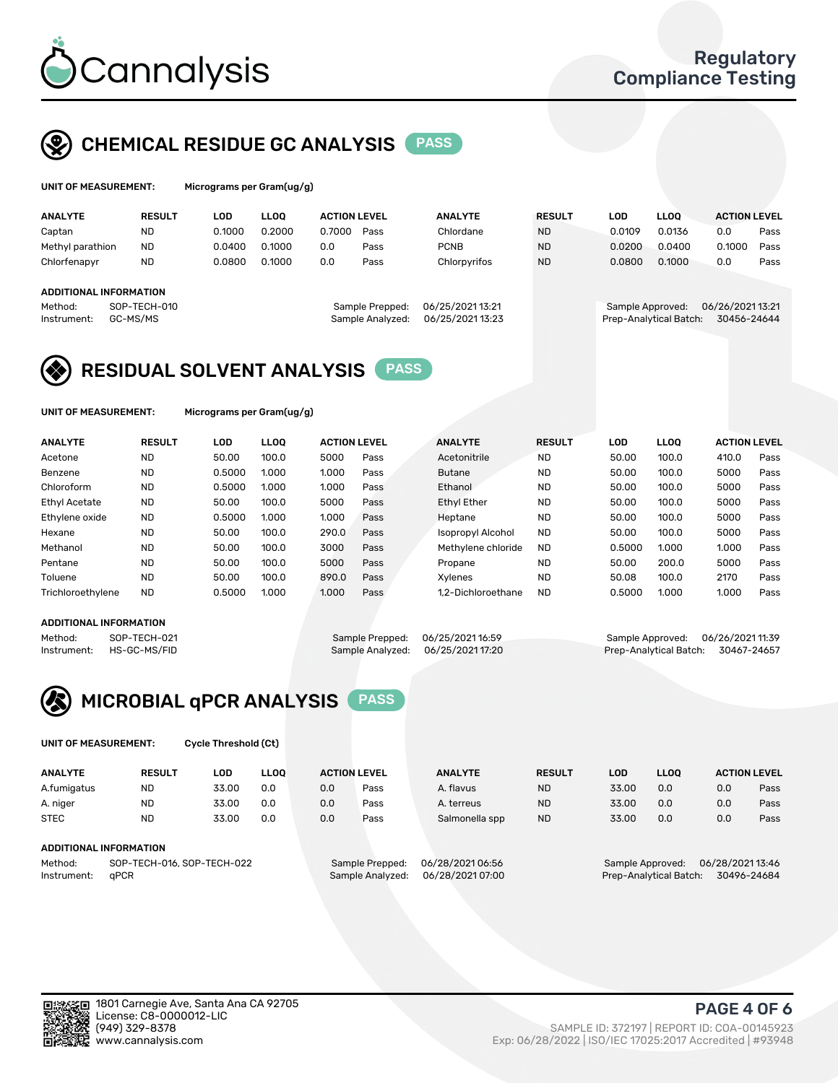

# CHEMICAL RESIDUE GC ANALYSIS PASS

ams per Gram(ug/g)

| <b>ANALYTE</b>                                   | <b>RESULT</b>            | LOD    | <b>LLOO</b> | <b>ACTION LEVEL</b> |                                     | <b>ANALYTE</b>                       | <b>RESULT</b> | LOD              | <b>LLOO</b>            | <b>ACTION LEVEL</b>            |      |
|--------------------------------------------------|--------------------------|--------|-------------|---------------------|-------------------------------------|--------------------------------------|---------------|------------------|------------------------|--------------------------------|------|
| Captan                                           | <b>ND</b>                | 0.1000 | 0.2000      | 0.7000              | Pass                                | Chlordane                            | <b>ND</b>     | 0.0109           | 0.0136                 | 0.0                            | Pass |
| Methyl parathion                                 | <b>ND</b>                | 0.0400 | 0.1000      | 0.0                 | Pass                                | <b>PCNB</b>                          | <b>ND</b>     | 0.0200           | 0.0400                 | 0.1000                         | Pass |
| Chlorfenapyr                                     | <b>ND</b>                | 0.0800 | 0.1000      | 0.0                 | Pass                                | Chlorpyrifos                         | <b>ND</b>     | 0.0800           | 0.1000                 | 0.0                            | Pass |
| ADDITIONAL INFORMATION<br>Method:<br>Instrument: | SOP-TECH-010<br>GC-MS/MS |        |             |                     | Sample Prepped:<br>Sample Analyzed: | 06/25/2021 13:21<br>06/25/2021 13:23 |               | Sample Approved: | Prep-Analytical Batch: | 06/26/202113:21<br>30456-24644 |      |

## RESIDUAL SOLVENT ANALYSIS PASS

UNIT OF MEASUREMENT: Micrograms per Gram(ug/g)

| <b>ANALYTE</b>       | <b>RESULT</b> | LOD    | <b>LLOO</b> | <b>ACTION LEVEL</b> |      | <b>ANALYTE</b>           | <b>RESULT</b> | LOD    | LLOO  | <b>ACTION LEVEL</b> |      |
|----------------------|---------------|--------|-------------|---------------------|------|--------------------------|---------------|--------|-------|---------------------|------|
| Acetone              | <b>ND</b>     | 50.00  | 100.0       | 5000                | Pass | Acetonitrile             | <b>ND</b>     | 50.00  | 100.0 | 410.0               | Pass |
| Benzene              | <b>ND</b>     | 0.5000 | 1.000       | 1.000               | Pass | <b>Butane</b>            | <b>ND</b>     | 50.00  | 100.0 | 5000                | Pass |
| Chloroform           | <b>ND</b>     | 0.5000 | 1.000       | 1.000               | Pass | Ethanol                  | <b>ND</b>     | 50.00  | 100.0 | 5000                | Pass |
| <b>Ethyl Acetate</b> | <b>ND</b>     | 50.00  | 100.0       | 5000                | Pass | <b>Ethyl Ether</b>       | <b>ND</b>     | 50.00  | 100.0 | 5000                | Pass |
| Ethylene oxide       | <b>ND</b>     | 0.5000 | 1.000       | 1.000               | Pass | Heptane                  | <b>ND</b>     | 50.00  | 100.0 | 5000                | Pass |
| Hexane               | <b>ND</b>     | 50.00  | 100.0       | 290.0               | Pass | <b>Isopropyl Alcohol</b> | <b>ND</b>     | 50.00  | 100.0 | 5000                | Pass |
| Methanol             | <b>ND</b>     | 50.00  | 100.0       | 3000                | Pass | Methylene chloride       | <b>ND</b>     | 0.5000 | 1.000 | 1.000               | Pass |
| Pentane              | <b>ND</b>     | 50.00  | 100.0       | 5000                | Pass | Propane                  | <b>ND</b>     | 50.00  | 200.0 | 5000                | Pass |
| Toluene              | <b>ND</b>     | 50.00  | 100.0       | 890.0               | Pass | Xvlenes                  | <b>ND</b>     | 50.08  | 100.0 | 2170                | Pass |
| Trichloroethylene    | <b>ND</b>     | 0.5000 | 1.000       | 1.000               | Pass | 1.2-Dichloroethane       | <b>ND</b>     | 0.5000 | 1.000 | 1.000               | Pass |

### ADDITIONAL INFORMATION

Method: SOP-TECH-021 Sample Prepped: 06/25/202116:59 Sample Approved: 06/26/202111:39<br>Instrument: HS-GC-MS/FID Sample Analyzed: 06/25/202117:20 Prep-Analytical Batch: 30467-24657 Prep-Analytical Batch: 30467-24657



UNIT OF MEASUREMENT: Cycle Threshold (Ct)

| <b>ANALYTE</b> | <b>RESULT</b>              | LOD   | <b>LLOO</b> |     | <b>ACTION LEVEL</b> | <b>ANALYTE</b>   | <b>RESULT</b> | <b>LOD</b>       | <b>LLOO</b> |                  | <b>ACTION LEVEL</b> |
|----------------|----------------------------|-------|-------------|-----|---------------------|------------------|---------------|------------------|-------------|------------------|---------------------|
|                |                            |       |             |     |                     |                  |               |                  |             |                  |                     |
| A.fumigatus    | <b>ND</b>                  | 33.00 | 0.0         | 0.0 | Pass                | A. flavus        | <b>ND</b>     | 33.00            | 0.0         | 0.0              | Pass                |
| A. niger       | <b>ND</b>                  | 33.00 | 0.0         | 0.0 | Pass                | A. terreus       | <b>ND</b>     | 33.00            | 0.0         | 0.0              | Pass                |
| <b>STEC</b>    | <b>ND</b>                  | 33.00 | 0.0         | 0.0 | Pass                | Salmonella spp   | <b>ND</b>     | 33.00            | 0.0         | 0.0              | Pass                |
|                | ADDITIONAL INFORMATION     |       |             |     |                     |                  |               |                  |             |                  |                     |
|                |                            |       |             |     |                     |                  |               |                  |             | 06/28/2021 13:46 |                     |
| Method:        | SOP-TECH-016, SOP-TECH-022 |       |             |     | Sample Prepped:     | 06/28/2021 06:56 |               | Sample Approved: |             |                  |                     |

Instrument: qPCR Sample Analyzed: 06/28/2021 07:00 Prep-Analytical Batch: 30496-24684

(949) 329-8378 SAMPLE ID: 372197 | REPORT ID: COA-00145923 Exp: 06/28/2022 | ISO/IEC 17025:2017 Accredited | #93948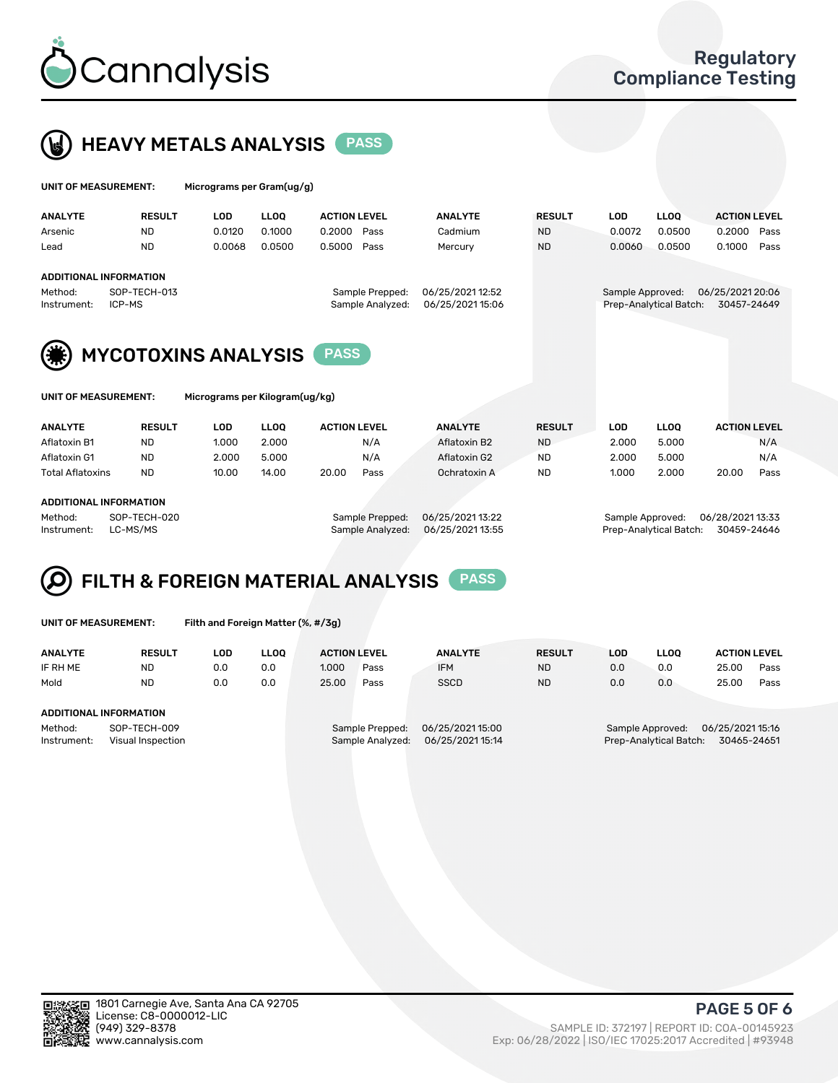



|                                                            |                 |                     |             | Micrograms per Gram(ug/g) |                        | UNIT OF MEASUREMENT: |
|------------------------------------------------------------|-----------------|---------------------|-------------|---------------------------|------------------------|----------------------|
| <b>RESULT</b><br><b>LLOO</b><br><b>ACTION LEVEL</b><br>LOD | <b>ANALYTE</b>  | <b>ACTION LEVEL</b> | <b>LLOO</b> | <b>LOD</b>                | <b>RESULT</b>          | <b>ANALYTE</b>       |
| 0.0500<br><b>ND</b><br>0.0072<br>Pass<br>0.2000            | Cadmium         | 0.2000<br>Pass      | 0.1000      | 0.0120                    | <b>ND</b>              | Arsenic              |
| 0.0500<br><b>ND</b><br>0.1000<br>Pass<br>0.0060            | Mercury         | 0.5000<br>Pass      | 0.0500      | 0.0068                    | <b>ND</b>              | Lead                 |
|                                                            |                 |                     |             |                           | ADDITIONAL INFORMATION |                      |
| 06/25/2021 20:06<br>Sample Approved:                       | 06/25/202112:52 | Sample Prepped:     |             |                           | SOP-TECH-013           | Method:              |
| 30457-24649<br>Prep-Analytical Batch:                      | 06/25/202115:06 | Sample Analyzed:    |             |                           | ICP-MS                 | Instrument:          |
|                                                            |                 |                     |             |                           |                        |                      |



|  | UNIT OF MEASUREMENT: |
|--|----------------------|
|--|----------------------|

Micrograms per Kilogram(ug/kg)

| <b>ANALYTE</b>          | <b>RESULT</b> | LOD   | <b>LLOO</b> | <b>ACTION LEVEL</b> |      | <b>ANALYTE</b> | <b>RESULT</b> | LOD   | <b>LLOO</b> |       | <b>ACTION LEVEL</b> |
|-------------------------|---------------|-------|-------------|---------------------|------|----------------|---------------|-------|-------------|-------|---------------------|
| Aflatoxin B1            | <b>ND</b>     | 1.000 | 2.000       |                     | N/A  | Aflatoxin B2   | <b>ND</b>     | 2.000 | 5.000       |       | N/A                 |
| Aflatoxin G1            | <b>ND</b>     | 2.000 | 5.000       |                     | N/A  | Aflatoxin G2   | <b>ND</b>     | 2.000 | 5.000       |       | N/A                 |
| <b>Total Aflatoxins</b> | <b>ND</b>     | 10.00 | 14.00       | 20.00               | Pass | Ochratoxin A   | <b>ND</b>     | 1.000 | 2.000       | 20.00 | Pass                |
|                         |               |       |             |                     |      |                |               |       |             |       |                     |

#### ADDITIONAL INFORMATION

Method: SOP-TECH-020 Sample Prepped: 06/25/2021 13:22 Sample Approved: 06/28/2021 13:33 Instrument: LC-MS/MS COMEXANG Sample Analyzed: 06/25/2021 13:55 Prep-Analytical Batch: 30459-24646

# FILTH & FOREIGN MATERIAL ANALYSIS PASS

UNIT OF MEASUREMENT: Filth and Foreign Matter (%, #/3g)

| <b>ANALYTE</b>                                              | <b>RESULT</b>                 | LOD | <b>LLOO</b> | <b>ACTION LEVEL</b> |                                     | <b>ANALYTE</b>                       | <b>RESULT</b> | LOD | <b>LLOO</b>                                | <b>ACTION LEVEL</b>             |      |  |
|-------------------------------------------------------------|-------------------------------|-----|-------------|---------------------|-------------------------------------|--------------------------------------|---------------|-----|--------------------------------------------|---------------------------------|------|--|
| IF RH ME                                                    | <b>ND</b>                     | 0.0 | 0.0         | 1.000               | Pass                                | <b>IFM</b>                           | <b>ND</b>     | 0.0 | 0.0                                        | 25.00                           | Pass |  |
| Mold                                                        | <b>ND</b>                     | 0.0 | 0.0         | 25.00               | Pass                                | <b>SSCD</b>                          | <b>ND</b>     | 0.0 | 0.0                                        | 25.00                           | Pass |  |
|                                                             | <b>ADDITIONAL INFORMATION</b> |     |             |                     |                                     |                                      |               |     |                                            |                                 |      |  |
| Method:<br>SOP-TECH-009<br>Instrument:<br>Visual Inspection |                               |     |             |                     | Sample Prepped:<br>Sample Analyzed: | 06/25/2021 15:00<br>06/25/2021 15:14 |               |     | Sample Approved:<br>Prep-Analytical Batch: | 06/25/2021 15:16<br>30465-24651 |      |  |



PAGE 5 OF 6